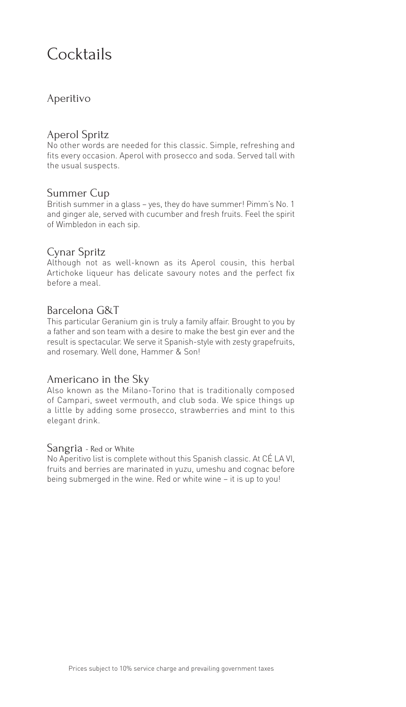## Cocktails

### Aperitivo

### Aperol Spritz

No other words are needed for this classic. Simple, refreshing and fits every occasion. Aperol with prosecco and soda. Served tall with the usual suspects.

### Summer Cup

British summer in a glass – yes, they do have summer! Pimm's No. 1 and ginger ale, served with cucumber and fresh fruits. Feel the spirit of Wimbledon in each sip.

### Cynar Spritz

Although not as well-known as its Aperol cousin, this herbal Artichoke liqueur has delicate savoury notes and the perfect fix before a meal.

### Barcelona G&T

This particular Geranium gin is truly a family affair. Brought to you by a father and son team with a desire to make the best gin ever and the result is spectacular. We serve it Spanish-style with zesty grapefruits, and rosemary. Well done, Hammer & Son!

### Americano in the Sky

Also known as the Milano-Torino that is traditionally composed of Campari, sweet vermouth, and club soda. We spice things up a little by adding some prosecco, strawberries and mint to this elegant drink.

#### Sangria - Red or White

No Aperitivo list is complete without this Spanish classic. At CÉ LA VI, fruits and berries are marinated in yuzu, umeshu and cognac before being submerged in the wine. Red or white wine – it is up to you!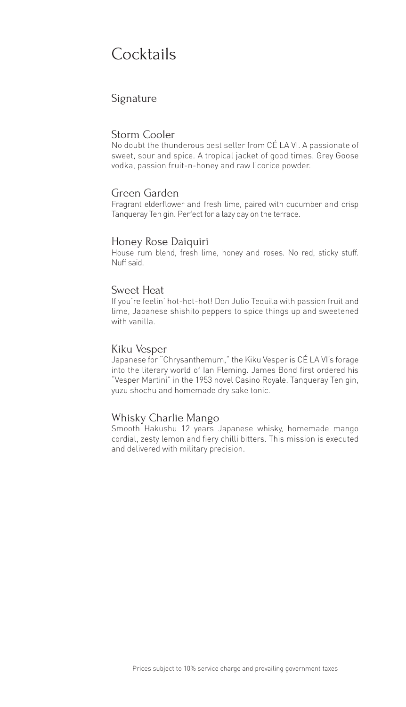## Cocktails

### Signature

#### Storm Cooler

No doubt the thunderous best seller from CÉ LA VI. A passionate of sweet, sour and spice. A tropical jacket of good times. Grey Goose vodka, passion fruit-n-honey and raw licorice powder.

#### Green Garden

Fragrant elderflower and fresh lime, paired with cucumber and crisp Tanqueray Ten gin. Perfect for a lazy day on the terrace.

#### Honey Rose Daiquiri

House rum blend, fresh lime, honey and roses. No red, sticky stuff. Nuff said.

#### Sweet Heat

If you're feelin' hot-hot-hot! Don Julio Tequila with passion fruit and lime, Japanese shishito peppers to spice things up and sweetened with vanilla.

#### Kiku Vesper

Japanese for "Chrysanthemum," the Kiku Vesper is CÉ LA VI's forage into the literary world of Ian Fleming. James Bond first ordered his "Vesper Martini" in the 1953 novel Casino Royale. Tanqueray Ten gin, yuzu shochu and homemade dry sake tonic.

#### Whisky Charlie Mango

Smooth Hakushu 12 years Japanese whisky, homemade mango cordial, zesty lemon and fiery chilli bitters. This mission is executed and delivered with military precision.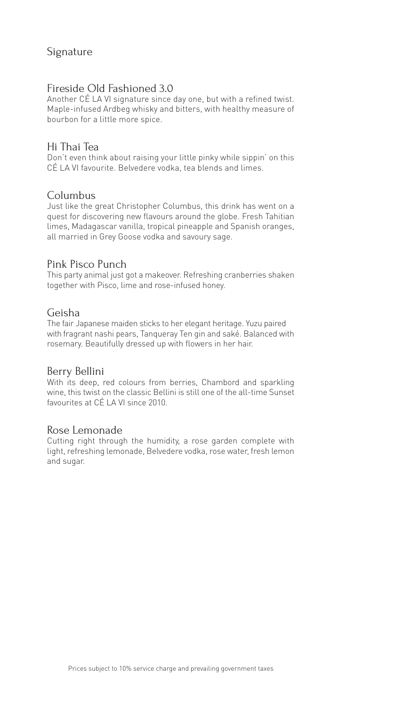### Signature

### Fireside Old Fashioned 3.0

Another CÉ LA VI signature since day one, but with a refined twist. Maple-infused Ardbeg whisky and bitters, with healthy measure of bourbon for a little more spice.

### Hi Thai Tea

Don't even think about raising your little pinky while sippin' on this CÉ LA VI favourite. Belvedere vodka, tea blends and limes.

### Columbus

Just like the great Christopher Columbus, this drink has went on a quest for discovering new flavours around the globe. Fresh Tahitian limes, Madagascar vanilla, tropical pineapple and Spanish oranges, all married in Grey Goose vodka and savoury sage.

### Pink Pisco Punch

This party animal just got a makeover. Refreshing cranberries shaken together with Pisco, lime and rose-infused honey.

### Geisha

The fair Japanese maiden sticks to her elegant heritage. Yuzu paired with fragrant nashi pears, Tanqueray Ten gin and saké. Balanced with rosemary. Beautifully dressed up with flowers in her hair.

#### Berry Bellini

With its deep, red colours from berries, Chambord and sparkling wine, this twist on the classic Bellini is still one of the all-time Sunset favourites at CÉ LA VI since 2010.

#### Rose Lemonade

Cutting right through the humidity, a rose garden complete with light, refreshing lemonade, Belvedere vodka, rose water, fresh lemon and sugar.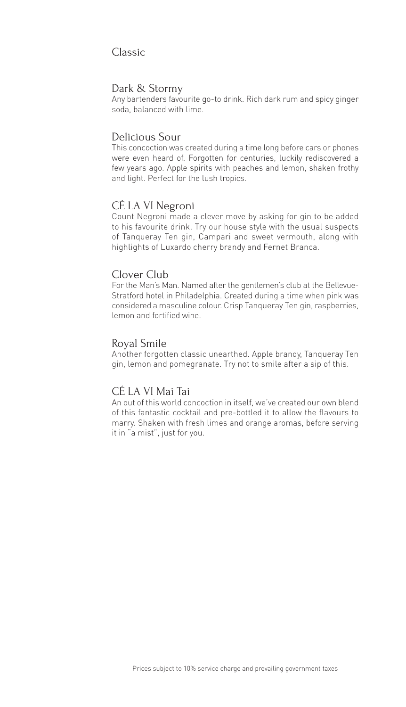### Classic

#### Dark & Stormy

Any bartenders favourite go-to drink. Rich dark rum and spicy ginger soda, balanced with lime.

#### Delicious Sour

This concoction was created during a time long before cars or phones were even heard of. Forgotten for centuries, luckily rediscovered a few years ago. Apple spirits with peaches and lemon, shaken frothy and light. Perfect for the lush tropics.

#### CÉ LA VI Negroni

Count Negroni made a clever move by asking for gin to be added to his favourite drink. Try our house style with the usual suspects of Tanqueray Ten gin, Campari and sweet vermouth, along with highlights of Luxardo cherry brandy and Fernet Branca.

### Clover Club

For the Man's Man. Named after the gentlemen's club at the Bellevue-Stratford hotel in Philadelphia. Created during a time when pink was considered a masculine colour. Crisp Tanqueray Ten gin, raspberries, lemon and fortified wine.

#### Royal Smile

Another forgotten classic unearthed. Apple brandy, Tanqueray Ten gin, lemon and pomegranate. Try not to smile after a sip of this.

### CÉ LA VI Mai Tai

An out of this world concoction in itself, we've created our own blend of this fantastic cocktail and pre-bottled it to allow the flavours to marry. Shaken with fresh limes and orange aromas, before serving it in "a mist", just for you.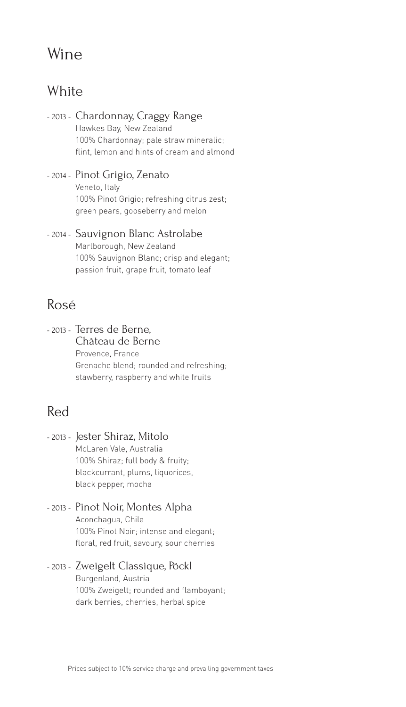## Wine

### **White**

- 2013 Chardonnay, Craggy Range Hawkes Bay, New Zealand 100% Chardonnay; pale straw mineralic; flint, lemon and hints of cream and almond
- 2014 Pinot Grigio, Zenato Veneto, Italy 100% Pinot Grigio; refreshing citrus zest; green pears, gooseberry and melon
- 2014 Sauvignon Blanc Astrolabe Marlborough, New Zealand 100% Sauvignon Blanc; crisp and elegant; passion fruit, grape fruit, tomato leaf

### Rosé

- 2013 - Terres de Berne, Château de Berne Provence, France Grenache blend; rounded and refreshing; stawberry, raspberry and white fruits

### Red

- 2013 Jester Shiraz, Mitolo McLaren Vale, Australia 100% Shiraz; full body & fruity; blackcurrant, plums, liquorices, black pepper, mocha
- 2013 Pinot Noir, Montes Alpha Aconchagua, Chile 100% Pinot Noir; intense and elegant; floral, red fruit, savoury, sour cherries
- 2013 Zweigelt Classique, Pöckl Burgenland, Austria 100% Zweigelt; rounded and flamboyant; dark berries, cherries, herbal spice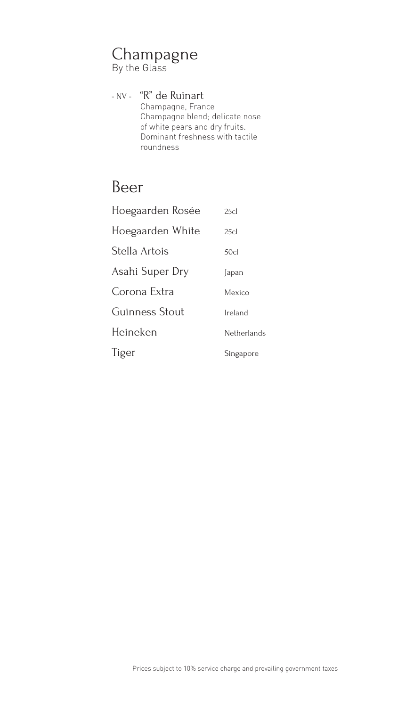## Champagne

By the Glass

### - NV - "R" de Ruinart

Champagne, France Champagne blend; delicate nose of white pears and dry fruits. Dominant freshness with tactile roundness

### Beer

| Hoegaarden Rosée | 25c              |
|------------------|------------------|
| Hoegaarden White | 25c              |
| Stella Artois    | 50 <sub>cl</sub> |
| Asahi Super Dry  | Japan            |
| Corona Extra     | Mexico           |
| Guinness Stout   | Ireland          |
| Heineken         | Netherlands      |
| Tiger            | Singapore        |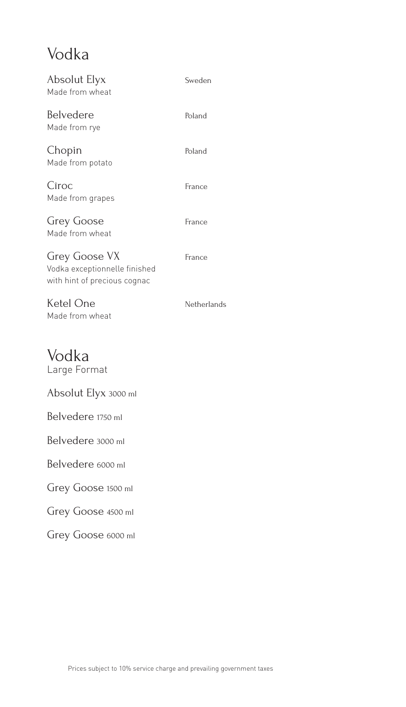## Vodka

| Absolut Elyx<br>Made from wheat                                                | Sweden      |
|--------------------------------------------------------------------------------|-------------|
| Belvedere<br>Made from rye                                                     | Poland      |
| Chopin<br>Made from potato                                                     | Poland      |
| Cîroc<br>Made from grapes                                                      | France      |
| <b>Grey Goose</b><br>Made from wheat                                           | France      |
| Grey Goose VX<br>Vodka exceptionnelle finished<br>with hint of precious cognac | France      |
|                                                                                |             |
| Ketel One<br>Made from wheat                                                   | Netherlands |
| Vodka<br>Large Format                                                          |             |
| Absolut Elyx 3000 ml                                                           |             |
| Belvedere 1750 ml                                                              |             |
| Belvedere 3000 ml                                                              |             |
| Belvedere 6000 ml                                                              |             |
| Grey Goose 1500 ml                                                             |             |

Grey Goose 6000 ml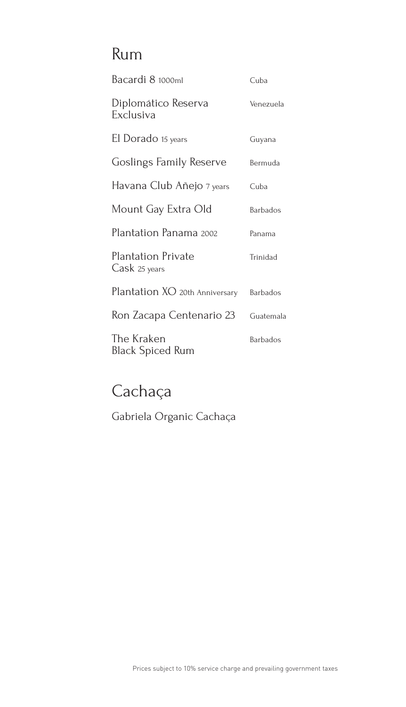## Rum

| Bacardi 8 1000ml                     | Cuba            |
|--------------------------------------|-----------------|
| Diplomático Reserva<br>Exclusiva     | Venezuela       |
| El Dorado 15 years                   | Guyana          |
| Goslings Family Reserve              | Bermuda         |
| Havana Club Añejo 7 <sub>years</sub> | Cuba            |
| Mount Gay Extra Old                  | <b>Barbados</b> |
| Plantation Panama 2002               | Panama          |
| Plantation Private<br>Cask 25 years  | Trinidad        |
| Plantation XO 20th Anniversary       | <b>Barbados</b> |
| Ron Zacapa Centenario 23             | Guatemala       |
| The Kraken<br>Black Spiced Rum       | <b>Barbados</b> |

## Cachaça

Gabriela Organic Cachaça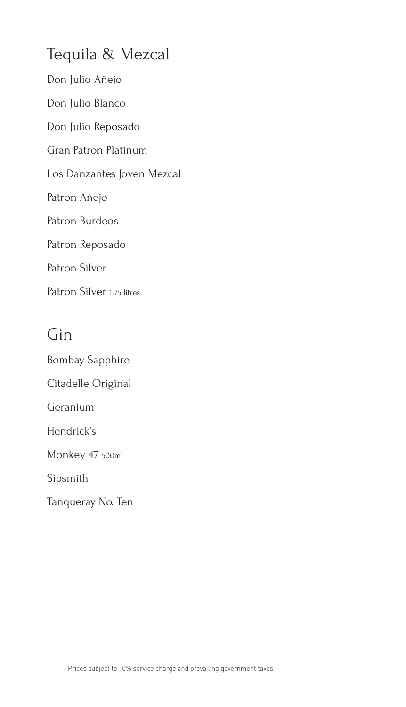## Tequila & Mezcal

Don Julio Añejo

Don Julio Blanco

Don Julio Reposado

Gran Patron Platinum

Los Danzantes Joven Mezcal

Patron Añejo

Patron Burdeos

Patron Reposado

Patron Silver

Patron Silver 1.75 litres

## Gin

Bombay Sapphire Citadelle Original Geranium Hendrick's Monkey 47 500ml Sipsmith Tanqueray No. Ten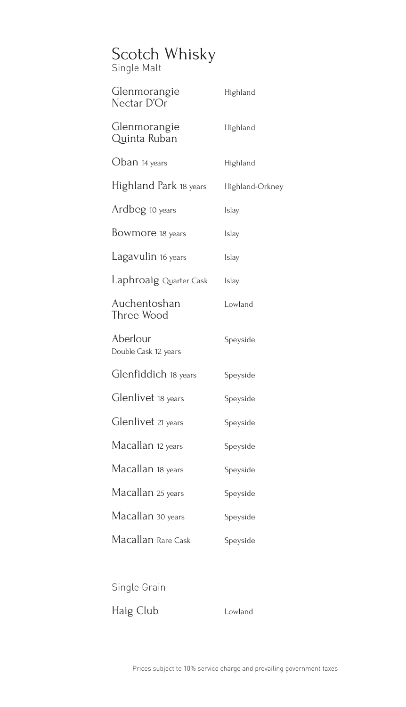# Scotch Whisky

Single Malt

| Glenmorangie<br>Nectar D'Or      | Highland        |
|----------------------------------|-----------------|
| Glenmorangie<br>Quinta Ruban     | Highland        |
| Oban 14 years                    | Highland        |
| Highland Park 18 years           | Highland-Orkney |
| Ardbeg 10 years                  | Islay           |
| Bowmore 18 years                 | Islay           |
| Lagavulin 16 years               | Islay           |
| Laphroaig Quarter Cask           | <b>Islay</b>    |
| Auchentoshan<br>Three Wood       | Lowland         |
| Aberlour<br>Double Cask 12 years | Speyside        |
| Glenfiddich 18 years             | Speyside        |
| Glenlivet 18 years               | Speyside        |
| Glenlivet 21 years               | Speyside        |
| Macallan 12 years                | Speyside        |
| Macallan 18 years                | Speyside        |
| Macallan 25 years                | Speyside        |
| Macallan 30 years                | Speyside        |
| Macallan Rare Cask               | Speyside        |
|                                  |                 |

Single Grain

Haig Club Lowland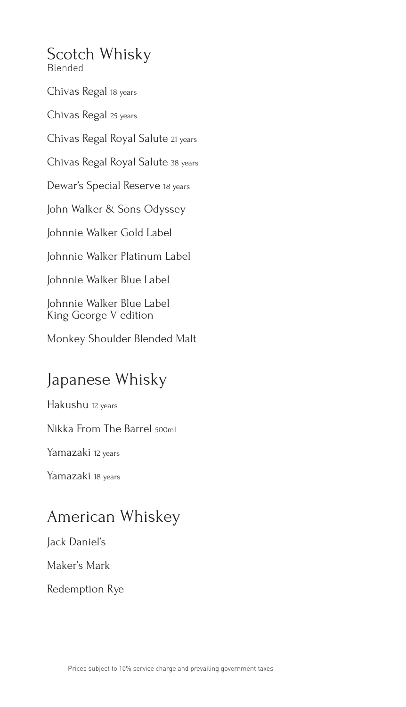Scotch Whisky Blended

Chivas Regal 18 years

Chivas Regal 25 years

Chivas Regal Royal Salute 21 years

Chivas Regal Royal Salute 38 years

Dewar's Special Reserve 18 years

John Walker & Sons Odyssey

Johnnie Walker Gold Label

Johnnie Walker Platinum Label

Johnnie Walker Blue Label

Johnnie Walker Blue Label King George V edition

Monkey Shoulder Blended Malt

## Japanese Whisky

Hakushu 12 years

Nikka From The Barrel 500ml

Yamazaki 12 years

Yamazaki 18 years

### American Whiskey

Jack Daniel's

Maker's Mark

Redemption Rye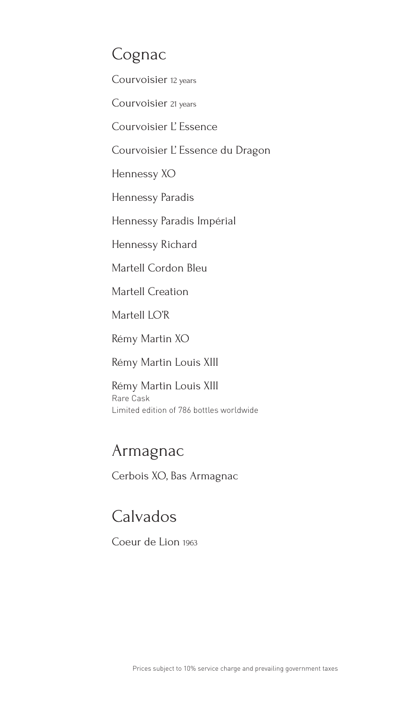## Cognac

Courvoisier 12 years

Courvoisier 21 years

Courvoisier L' Essence

Courvoisier L' Essence du Dragon

Hennessy XO

Hennessy Paradis

Hennessy Paradis Impérial

Hennessy Richard

Martell Cordon Bleu

Martell Creation

Martell LO'R

Rémy Martin XO

Rémy Martin Louis XIII

Rémy Martin Louis XIII Rare Cask Limited edition of 786 bottles worldwide

### Armagnac

Cerbois XO, Bas Armagnac

### Calvados

Coeur de Lion 1963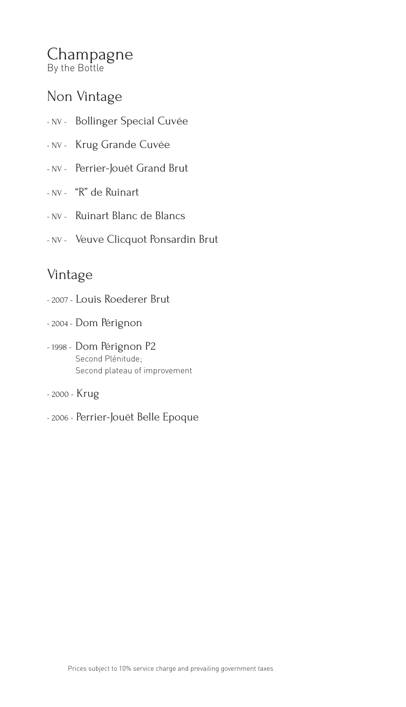### Champagne By the Bottle

### Non Vintage

- NV Bollinger Special Cuvée
- NV Krug Grande Cuvée
- NV Perrier-Jouët Grand Brut
- NV "R" de Ruinart
- NV Ruinart Blanc de Blancs
- NV Veuve Clicquot Ponsardin Brut

### Vintage

- 2007 Louis Roederer Brut
- 2004 Dom Pérignon
- 1998 Dom Pérignon P2 Second Plénitude; Second plateau of improvement
- 2000 Krug
- 2006 Perrier-Jouët Belle Epoque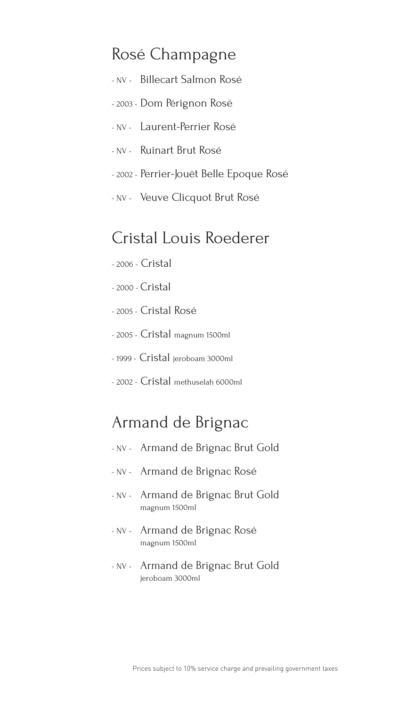### Rosé Champagne

- NV Billecart Salmon Rosé
- 2003 Dom Pérignon Rosé
- NV Laurent-Perrier Rosé
- NV Ruinart Brut Rosé
- 2002 Perrier-Jouët Belle Epoque Rosé
- NV Veuve Clicquot Brut Rosé

### Cristal Louis Roederer

- 2006 Cristal
- 2000 Cristal
- 2005 Cristal Rosé
- 2005 Cristal magnum 1500ml
- 1999 Cristal jeroboam 3000ml
- 2002 Cristal methuselah 6000ml

### Armand de Brignac

- NV Armand de Brignac Brut Gold
- NV Armand de Brignac Rosé
- NV Armand de Brignac Brut Gold magnum 1500ml
- NV Armand de Brignac Rosé magnum 1500ml
- NV Armand de Brignac Brut Gold jeroboam 3000ml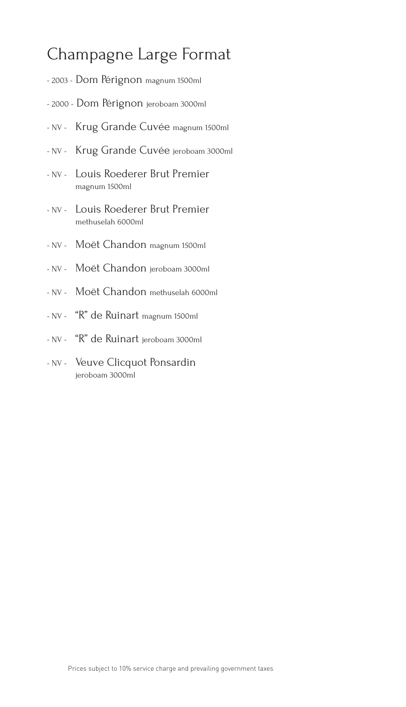## Champagne Large Format

- 2003 Dom Pérignon magnum 1500ml
- 2000 Dom Pérignon jeroboam 3000ml
- NV Krug Grande Cuvée magnum 1500ml
- NV Krug Grande Cuvée jeroboam 3000ml
- NV Louis Roederer Brut Premier magnum 1500ml
- NV Louis Roederer Brut Premier methuselah 6000ml
- NV Moët Chandon magnum 1500ml
- NV Moët Chandon jeroboam 3000ml
- NV Moët Chandon methuselah 6000ml
- NV "R" de Ruinart magnum 1500ml
- NV "R" de Ruinart jeroboam 3000ml
- NV Veuve Clicquot Ponsardin jeroboam 3000ml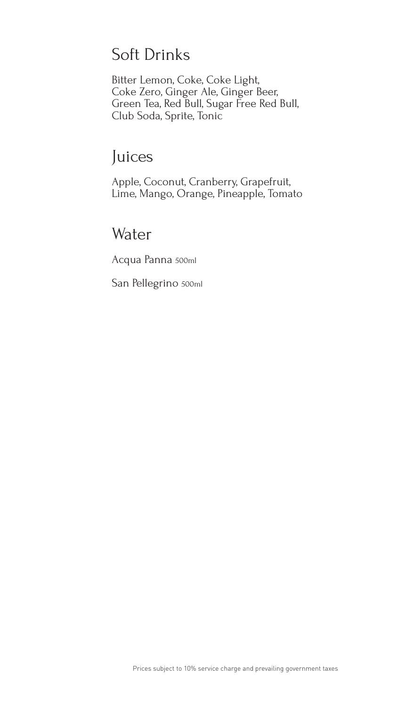## Soft Drinks

Bitter Lemon, Coke, Coke Light, Coke Zero, Ginger Ale, Ginger Beer, Green Tea, Red Bull, Sugar Free Red Bull, Club Soda, Sprite, Tonic

## Juices

Apple, Coconut, Cranberry, Grapefruit, Lime, Mango, Orange, Pineapple, Tomato

### Water

Acqua Panna 500ml

San Pellegrino 500ml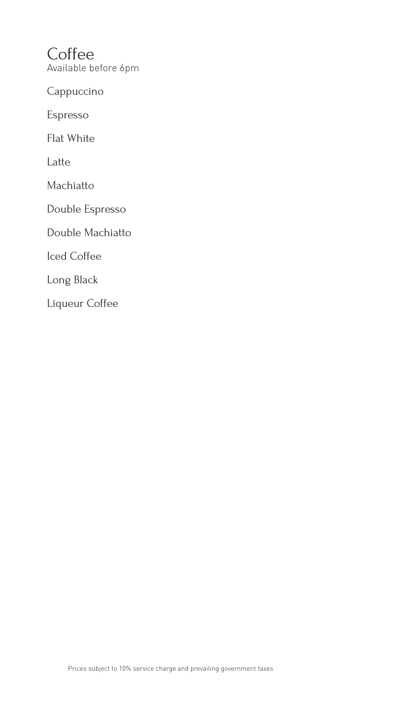**Coffee** Available before 6pm

Cappuccino

Espresso

Flat White

Latte

Machiatto

Double Espresso

Double Machiatto

Iced Coffee

Long Black

Liqueur Coffee